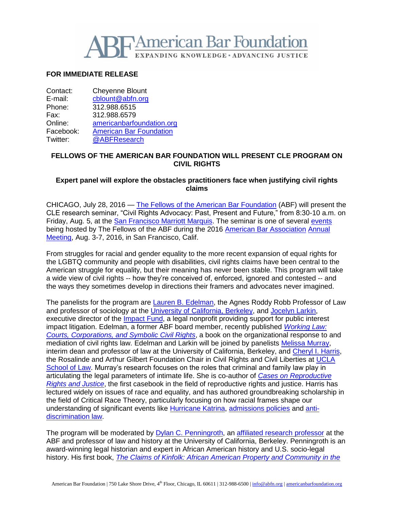

# **FOR IMMEDIATE RELEASE**

Contact: Cheyenne Blount E-mail: [cblount@abfn.org](mailto:cblount@abfn.org) Phone: 312.988.6515 Fax: 312.988.6579 Online: [americanbarfoundation.org](http://www.americanbarfoundation.org/) Facebook: [American Bar Foundation](https://www.facebook.com/americanbarfoundation/)<br>Twitter: @ABFResearch [@ABFResearch](https://twitter.com/ABFResearch)

## **FELLOWS OF THE AMERICAN BAR FOUNDATION WILL PRESENT CLE PROGRAM ON CIVIL RIGHTS**

## **Expert panel will explore the obstacles practitioners face when justifying civil rights claims**

CHICAGO, July 28, 2016 — [The Fellows of the American Bar Foundation](http://www.americanbarfoundation.org/fellows/index.html) (ABF) will present the CLE research seminar, "Civil Rights Advocacy: Past, Present and Future," from 8:30-10 a.m. on Friday, Aug. 5, at the [San Francisco Marriott Marquis.](http://www.marriott.com/hotels/travel/sfodt-san-francisco-marriott-marquis/) The seminar is one of several [events](http://www.americanbarfoundation.org/uploads/cms/documents/abf_2016sf_finalregistrationform.pdf) being hosted by The Fellows of the ABF during the 2016 [American Bar Association](http://www.americanbar.org/) [Annual](http://www.americanbar.org/calendar/annual.html)  [Meeting,](http://www.americanbar.org/calendar/annual.html) Aug. 3-7, 2016, in San Francisco, Calif.

From struggles for racial and gender equality to the more recent expansion of equal rights for the LGBTQ community and people with disabilities, civil rights claims have been central to the American struggle for equality, but their meaning has never been stable. This program will take a wide view of civil rights -- how they're conceived of, enforced, ignored and contested -- and the ways they sometimes develop in directions their framers and advocates never imagined.

The panelists for the program are [Lauren B. Edelman,](http://vcresearch.berkeley.edu/faculty/lauren-b-edelman) the Agnes Roddy Robb Professor of Law and professor of sociology at the [University of California, Berkeley,](http://www.berkeley.edu/) and [Jocelyn Larkin,](http://www.impactfund.org/aboutus/public-interest-lawyers/) executive director of the *Impact Fund*, a legal nonprofit providing support for public interest impact litigation. Edelman, a former ABF board member, recently published *[Working Law:](http://press.uchicago.edu/ucp/books/book/chicago/W/bo24550454.html)  [Courts, Corporations, and Symbolic Civil Rights](http://press.uchicago.edu/ucp/books/book/chicago/W/bo24550454.html)*, a book on the organizational response to and mediation of civil rights law. Edelman and Larkin will be joined by panelists [Melissa Murray,](https://www.law.berkeley.edu/php-programs/faculty/facultyProfile.php?facID=6467) interim dean and professor of law at the University of California, Berkeley, and [Cheryl I. Harris,](https://law.ucla.edu/faculty/faculty-profiles/cheryl-i-harris/) the Rosalinde and Arthur Gilbert Foundation Chair in Civil Rights and Civil Liberties at UCLA [School of Law.](https://law.ucla.edu/) Murray's research focuses on the roles that criminal and family law play in articulating the legal parameters of intimate life. She is co-author of *[Cases on Reproductive](http://store.westacademic.com/s.nl/it.A/id.3269/.f)  [Rights and Justice](http://store.westacademic.com/s.nl/it.A/id.3269/.f)*, the first casebook in the field of reproductive rights and justice. Harris has lectured widely on issues of race and equality, and has authored groundbreaking scholarship in the field of Critical Race Theory, particularly focusing on how racial frames shape our understanding of significant events like [Hurricane Katrina,](http://scholarship.law.berkeley.edu/cgi/viewcontent.cgi?article=1265&context=californialawreview) [admissions policies](http://scholarship.law.berkeley.edu/cgi/viewcontent.cgi?article=1161&context=californialawreview) and [anti](http://www.uclalawreview.org/reading-ricci-whitening-discrimination-race-ing-test-fairness/)[discrimination law.](http://www.uclalawreview.org/reading-ricci-whitening-discrimination-race-ing-test-fairness/)

The program will be moderated by [Dylan C. Penningroth,](http://history.berkeley.edu/people/dylan-c-penningroth) an [affiliated research professor](http://www.americanbarfoundation.org/faculty/profile/22) at the ABF and professor of law and history at the University of California, Berkeley. Penningroth is an award-winning legal historian and expert in African American history and U.S. socio-legal history. His first book, *[The Claims of Kinfolk: African American Property and Community in the](http://uncpress.unc.edu/books/T-6134.html)*